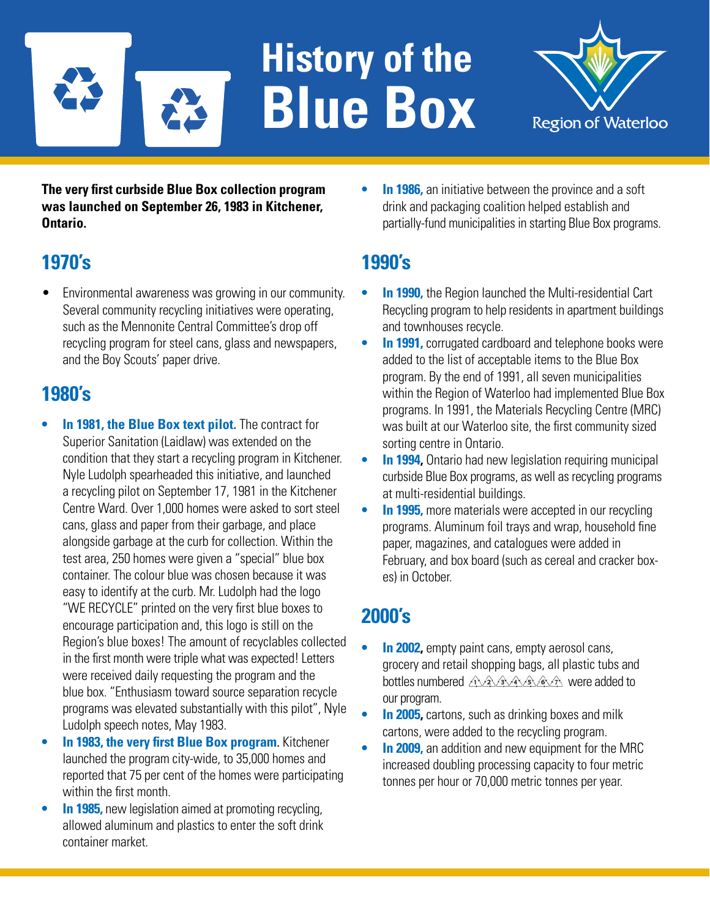# **History of the Blue Box**



**The very first curbside Blue Box collection program was launched on September 26, 1983 in Kitchener, Ontario.**

# **1970's**

• Environmental awareness was growing in our community. Several community recycling initiatives were operating, such as the Mennonite Central Committee's drop off recycling program for steel cans, glass and newspapers, and the Boy Scouts' paper drive.

### **1980's**

- **• In 1981, the Blue Box text pilot.** The contract for Superior Sanitation (Laidlaw) was extended on the condition that they start a recycling program in Kitchener. Nyle Ludolph spearheaded this initiative, and launched a recycling pilot on September 17, 1981 in the Kitchener Centre Ward. Over 1,000 homes were asked to sort steel cans, glass and paper from their garbage, and place alongside garbage at the curb for collection. Within the test area, 250 homes were given a "special" blue box container. The colour blue was chosen because it was easy to identify at the curb. Mr. Ludolph had the logo "WE RECYCLE" printed on the very first blue boxes to encourage participation and, this logo is still on the Region's blue boxes! The amount of recyclables collected in the first month were triple what was expected! Letters were received daily requesting the program and the blue box. "Enthusiasm toward source separation recycle programs was elevated substantially with this pilot", Nyle Ludolph speech notes, May 1983.
- **• In 1983, the very first Blue Box program**. Kitchener launched the program city-wide, to 35,000 homes and reported that 75 per cent of the homes were participating within the first month.
- **• In 1985,** new legislation aimed at promoting recycling, allowed aluminum and plastics to enter the soft drink container market.

**In 1986,** an initiative between the province and a soft drink and packaging coalition helped establish and partially-fund municipalities in starting Blue Box programs.

# **1990's**

- **In 1990,** the Region launched the Multi-residential Cart Recycling program to help residents in apartment buildings and townhouses recycle.
- **• In 1991,** corrugated cardboard and telephone books were added to the list of acceptable items to the Blue Box program. By the end of 1991, all seven municipalities within the Region of Waterloo had implemented Blue Box programs. In 1991, the Materials Recycling Centre (MRC) was built at our Waterloo site, the first community sized sorting centre in Ontario.
- **• In 1994,** Ontario had new legislation requiring municipal curbside Blue Box programs, as well as recycling programs at multi-residential buildings.
- **In 1995,** more materials were accepted in our recycling programs. Aluminum foil trays and wrap, household fine paper, magazines, and catalogues were added in February, and box board (such as cereal and cracker boxes) in October.

# **2000's**

- **• In 2002,** empty paint cans, empty aerosol cans, grocery and retail shopping bags, all plastic tubs and bottles numbered AAAAAAA were added to our program.
- **In 2005,** cartons, such as drinking boxes and milk cartons, were added to the recycling program.
- **In 2009,** an addition and new equipment for the MRC increased doubling processing capacity to four metric tonnes per hour or 70,000 metric tonnes per year.